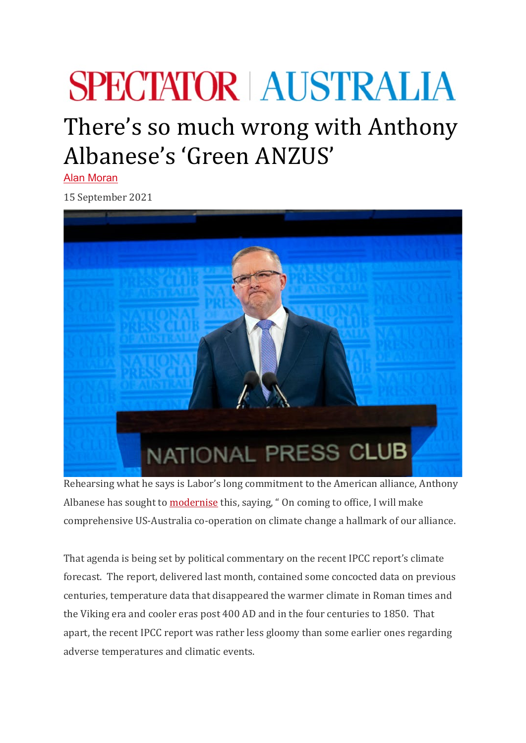## **SPECTATOR AUSTRALIA**

## There's so much wrong with Anthony Albanese's 'Green ANZUS'

[Alan Moran](https://spectator.com.au/author/alanmoran/)

15 September 2021



Rehearsing what he says is Labor's long commitment to the American alliance, Anthony Albanese has sought to **[modernise](https://www.theaustralian.com.au/commentary/labor-to-make-climate-central-to-the-us-alliance/news-story/71d6f1b10dc2c10a0a4625611ec80f24))** this, saying, "On coming to office, I will make comprehensive US-Australia co-operation on climate change a hallmark of our alliance.

That agenda is being set by political commentary on the recent IPCC report's climate forecast. The report, delivered last month, contained some concocted data on previous centuries, temperature data that disappeared the warmer climate in Roman times and the Viking era and cooler eras post 400 AD and in the four centuries to 1850. That apart, the recent IPCC report was rather less gloomy than some earlier ones regarding adverse temperatures and climatic events.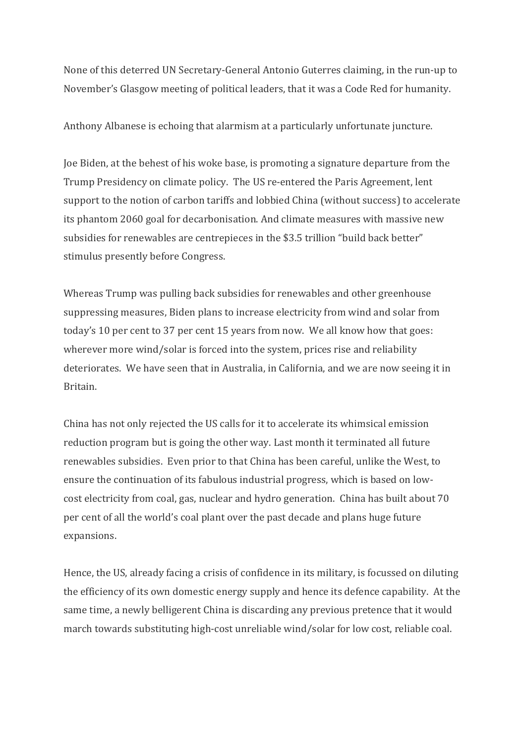None of this deterred UN Secretary-General Antonio Guterres claiming, in the run-up to November's Glasgow meeting of political leaders, that it was a Code Red for humanity.

Anthony Albanese is echoing that alarmism at a particularly unfortunate juncture.

Joe Biden, at the behest of his woke base, is promoting a signature departure from the Trump Presidency on climate policy. The US re-entered the Paris Agreement, lent support to the notion of carbon tariffs and lobbied China (without success) to accelerate its phantom 2060 goal for decarbonisation. And climate measures with massive new subsidies for renewables are centrepieces in the \$3.5 trillion "build back better" stimulus presently before Congress.

Whereas Trump was pulling back subsidies for renewables and other greenhouse suppressing measures, Biden plans to increase electricity from wind and solar from today's 10 per cent to 37 per cent 15 years from now. We all know how that goes: wherever more wind/solar is forced into the system, prices rise and reliability deteriorates. We have seen that in Australia, in California, and we are now seeing it in Britain.

China has not only rejected the US calls for it to accelerate its whimsical emission reduction program but is going the other way. Last month it terminated all future renewables subsidies. Even prior to that China has been careful, unlike the West, to ensure the continuation of its fabulous industrial progress, which is based on lowcost electricity from coal, gas, nuclear and hydro generation. China has built about 70 per cent of all the world's coal plant over the past decade and plans huge future expansions.

Hence, the US, already facing a crisis of confidence in its military, is focussed on diluting the efficiency of its own domestic energy supply and hence its defence capability. At the same time, a newly belligerent China is discarding any previous pretence that it would march towards substituting high-cost unreliable wind/solar for low cost, reliable coal.